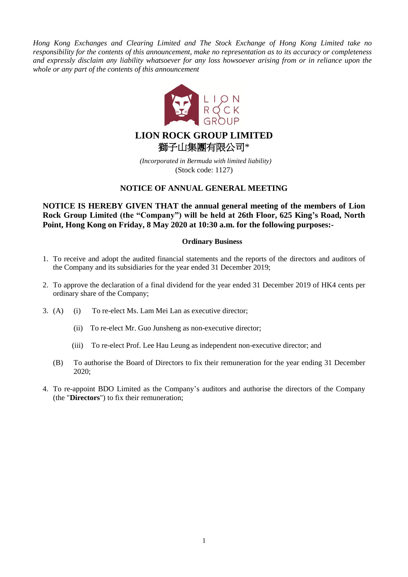*Hong Kong Exchanges and Clearing Limited and The Stock Exchange of Hong Kong Limited take no responsibility for the contents of this announcement, make no representation as to its accuracy or completeness and expressly disclaim any liability whatsoever for any loss howsoever arising from or in reliance upon the whole or any part of the contents of this announcement*



*(Incorporated in Bermuda with limited liability)* (Stock code: 1127)

# **NOTICE OF ANNUAL GENERAL MEETING**

**NOTICE IS HEREBY GIVEN THAT the annual general meeting of the members of Lion Rock Group Limited (the "Company") will be held at 26th Floor, 625 King's Road, North Point, Hong Kong on Friday, 8 May 2020 at 10:30 a.m. for the following purposes:-**

# **Ordinary Business**

- 1. To receive and adopt the audited financial statements and the reports of the directors and auditors of the Company and its subsidiaries for the year ended 31 December 2019;
- 2. To approve the declaration of a final dividend for the year ended 31 December 2019 of HK4 cents per ordinary share of the Company;
- 3. (A) (i) To re-elect Ms. Lam Mei Lan as executive director;
	- (ii) To re-elect Mr. Guo Junsheng as non-executive director;
	- (iii) To re-elect Prof. Lee Hau Leung as independent non-executive director; and
	- (B) To authorise the Board of Directors to fix their remuneration for the year ending 31 December 2020;
- 4. To re-appoint BDO Limited as the Company's auditors and authorise the directors of the Company (the "**Directors**") to fix their remuneration;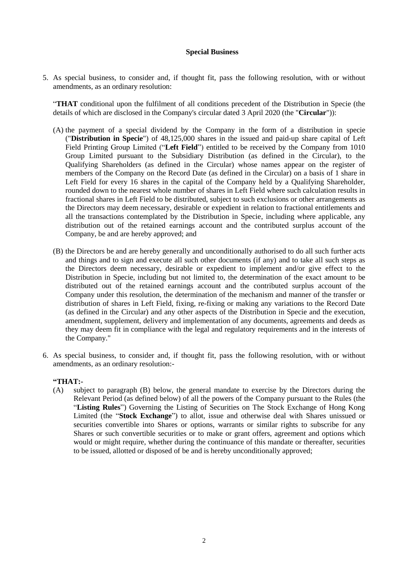### **Special Business**

5. As special business, to consider and, if thought fit, pass the following resolution, with or without amendments, as an ordinary resolution:

"**THAT** conditional upon the fulfilment of all conditions precedent of the Distribution in Specie (the details of which are disclosed in the Company's circular dated 3 April 2020 (the "**Circular**")):

- (A) the payment of a special dividend by the Company in the form of a distribution in specie ("**Distribution in Specie**") of 48,125,000 shares in the issued and paid-up share capital of Left Field Printing Group Limited ("**Left Field**") entitled to be received by the Company from 1010 Group Limited pursuant to the Subsidiary Distribution (as defined in the Circular), to the Qualifying Shareholders (as defined in the Circular) whose names appear on the register of members of the Company on the Record Date (as defined in the Circular) on a basis of 1 share in Left Field for every 16 shares in the capital of the Company held by a Qualifying Shareholder, rounded down to the nearest whole number of shares in Left Field where such calculation results in fractional shares in Left Field to be distributed, subject to such exclusions or other arrangements as the Directors may deem necessary, desirable or expedient in relation to fractional entitlements and all the transactions contemplated by the Distribution in Specie, including where applicable, any distribution out of the retained earnings account and the contributed surplus account of the Company, be and are hereby approved; and
- (B) the Directors be and are hereby generally and unconditionally authorised to do all such further acts and things and to sign and execute all such other documents (if any) and to take all such steps as the Directors deem necessary, desirable or expedient to implement and/or give effect to the Distribution in Specie, including but not limited to, the determination of the exact amount to be distributed out of the retained earnings account and the contributed surplus account of the Company under this resolution, the determination of the mechanism and manner of the transfer or distribution of shares in Left Field, fixing, re-fixing or making any variations to the Record Date (as defined in the Circular) and any other aspects of the Distribution in Specie and the execution, amendment, supplement, delivery and implementation of any documents, agreements and deeds as they may deem fit in compliance with the legal and regulatory requirements and in the interests of the Company."
- 6. As special business, to consider and, if thought fit, pass the following resolution, with or without amendments, as an ordinary resolution:-

## **"THAT:-**

(A) subject to paragraph (B) below, the general mandate to exercise by the Directors during the Relevant Period (as defined below) of all the powers of the Company pursuant to the Rules (the "**Listing Rules**") Governing the Listing of Securities on The Stock Exchange of Hong Kong Limited (the "**Stock Exchange**") to allot, issue and otherwise deal with Shares unissued or securities convertible into Shares or options, warrants or similar rights to subscribe for any Shares or such convertible securities or to make or grant offers, agreement and options which would or might require, whether during the continuance of this mandate or thereafter, securities to be issued, allotted or disposed of be and is hereby unconditionally approved;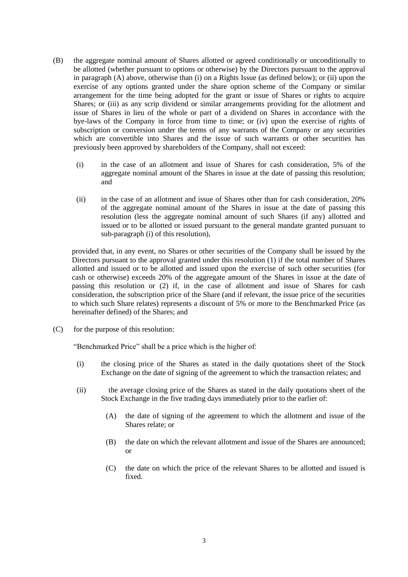- (B) the aggregate nominal amount of Shares allotted or agreed conditionally or unconditionally to be allotted (whether pursuant to options or otherwise) by the Directors pursuant to the approval in paragraph (A) above, otherwise than (i) on a Rights Issue (as defined below); or (ii) upon the exercise of any options granted under the share option scheme of the Company or similar arrangement for the time being adopted for the grant or issue of Shares or rights to acquire Shares; or (iii) as any scrip dividend or similar arrangements providing for the allotment and issue of Shares in lieu of the whole or part of a dividend on Shares in accordance with the bye-laws of the Company in force from time to time; or (iv) upon the exercise of rights of subscription or conversion under the terms of any warrants of the Company or any securities which are convertible into Shares and the issue of such warrants or other securities has previously been approved by shareholders of the Company, shall not exceed:
	- (i) in the case of an allotment and issue of Shares for cash consideration, 5% of the aggregate nominal amount of the Shares in issue at the date of passing this resolution; and
	- (ii) in the case of an allotment and issue of Shares other than for cash consideration, 20% of the aggregate nominal amount of the Shares in issue at the date of passing this resolution (less the aggregate nominal amount of such Shares (if any) allotted and issued or to be allotted or issued pursuant to the general mandate granted pursuant to sub-paragraph (i) of this resolution),

provided that, in any event, no Shares or other securities of the Company shall be issued by the Directors pursuant to the approval granted under this resolution (1) if the total number of Shares allotted and issued or to be allotted and issued upon the exercise of such other securities (for cash or otherwise) exceeds 20% of the aggregate amount of the Shares in issue at the date of passing this resolution or (2) if, in the case of allotment and issue of Shares for cash consideration, the subscription price of the Share (and if relevant, the issue price of the securities to which such Share relates) represents a discount of 5% or more to the Benchmarked Price (as hereinafter defined) of the Shares; and

(C) for the purpose of this resolution:

"Benchmarked Price" shall be a price which is the higher of:

- (i) the closing price of the Shares as stated in the daily quotations sheet of the Stock Exchange on the date of signing of the agreement to which the transaction relates; and
- (ii) the average closing price of the Shares as stated in the daily quotations sheet of the Stock Exchange in the five trading days immediately prior to the earlier of:
	- (A) the date of signing of the agreement to which the allotment and issue of the Shares relate; or
	- (B) the date on which the relevant allotment and issue of the Shares are announced; or
	- (C) the date on which the price of the relevant Shares to be allotted and issued is fixed.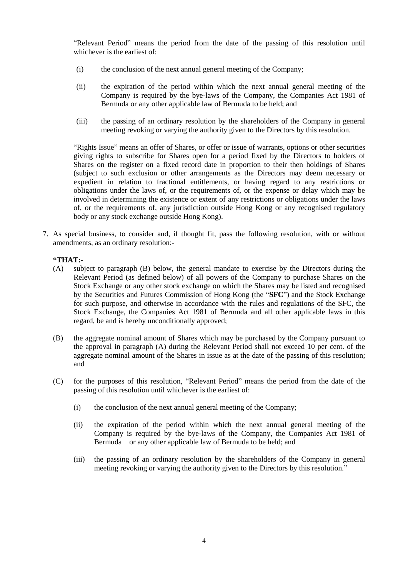"Relevant Period" means the period from the date of the passing of this resolution until whichever is the earliest of:

- (i) the conclusion of the next annual general meeting of the Company;
- (ii) the expiration of the period within which the next annual general meeting of the Company is required by the bye-laws of the Company, the Companies Act 1981 of Bermuda or any other applicable law of Bermuda to be held; and
- (iii) the passing of an ordinary resolution by the shareholders of the Company in general meeting revoking or varying the authority given to the Directors by this resolution.

"Rights Issue" means an offer of Shares, or offer or issue of warrants, options or other securities giving rights to subscribe for Shares open for a period fixed by the Directors to holders of Shares on the register on a fixed record date in proportion to their then holdings of Shares (subject to such exclusion or other arrangements as the Directors may deem necessary or expedient in relation to fractional entitlements, or having regard to any restrictions or obligations under the laws of, or the requirements of, or the expense or delay which may be involved in determining the existence or extent of any restrictions or obligations under the laws of, or the requirements of, any jurisdiction outside Hong Kong or any recognised regulatory body or any stock exchange outside Hong Kong).

7. As special business, to consider and, if thought fit, pass the following resolution, with or without amendments, as an ordinary resolution:-

# **"THAT:-**

- (A) subject to paragraph (B) below, the general mandate to exercise by the Directors during the Relevant Period (as defined below) of all powers of the Company to purchase Shares on the Stock Exchange or any other stock exchange on which the Shares may be listed and recognised by the Securities and Futures Commission of Hong Kong (the "**SFC**") and the Stock Exchange for such purpose, and otherwise in accordance with the rules and regulations of the SFC, the Stock Exchange, the Companies Act 1981 of Bermuda and all other applicable laws in this regard, be and is hereby unconditionally approved;
- (B) the aggregate nominal amount of Shares which may be purchased by the Company pursuant to the approval in paragraph (A) during the Relevant Period shall not exceed 10 per cent. of the aggregate nominal amount of the Shares in issue as at the date of the passing of this resolution; and
- (C) for the purposes of this resolution, "Relevant Period" means the period from the date of the passing of this resolution until whichever is the earliest of:
	- (i) the conclusion of the next annual general meeting of the Company;
	- (ii) the expiration of the period within which the next annual general meeting of the Company is required by the bye-laws of the Company, the Companies Act 1981 of Bermuda or any other applicable law of Bermuda to be held; and
	- (iii) the passing of an ordinary resolution by the shareholders of the Company in general meeting revoking or varying the authority given to the Directors by this resolution."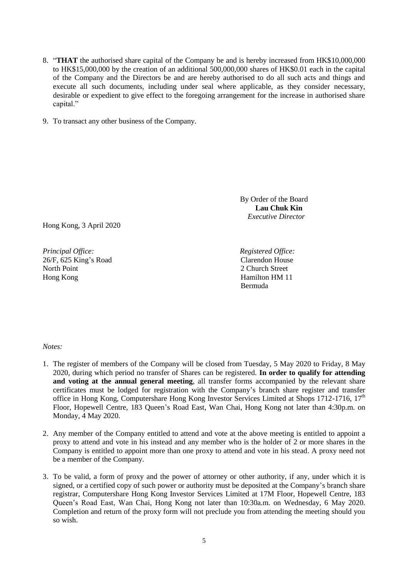- 8. "**THAT** the authorised share capital of the Company be and is hereby increased from HK\$10,000,000 to HK\$15,000,000 by the creation of an additional 500,000,000 shares of HK\$0.01 each in the capital of the Company and the Directors be and are hereby authorised to do all such acts and things and execute all such documents, including under seal where applicable, as they consider necessary, desirable or expedient to give effect to the foregoing arrangement for the increase in authorised share capital."
- 9. To transact any other business of the Company.

Hong Kong, 3 April 2020

*Principal Office: Registered Office:* 26/F, 625 King's Road North Point Hong Kong

By Order of the Board **Lau Chuk Kin** *Executive Director* 

Clarendon House 2 Church Street Hamilton HM 11 Bermuda

### *Notes:*

- 1. The register of members of the Company will be closed from Tuesday, 5 May 2020 to Friday, 8 May 2020, during which period no transfer of Shares can be registered. **In order to qualify for attending and voting at the annual general meeting**, all transfer forms accompanied by the relevant share certificates must be lodged for registration with the Company's branch share register and transfer office in Hong Kong, Computershare Hong Kong Investor Services Limited at Shops 1712-1716, 17<sup>th</sup> Floor, Hopewell Centre, 183 Queen's Road East, Wan Chai, Hong Kong not later than 4:30p.m. on Monday, 4 May 2020.
- 2. Any member of the Company entitled to attend and vote at the above meeting is entitled to appoint a proxy to attend and vote in his instead and any member who is the holder of 2 or more shares in the Company is entitled to appoint more than one proxy to attend and vote in his stead. A proxy need not be a member of the Company.
- 3. To be valid, a form of proxy and the power of attorney or other authority, if any, under which it is signed, or a certified copy of such power or authority must be deposited at the Company's branch share registrar, Computershare Hong Kong Investor Services Limited at 17M Floor, Hopewell Centre, 183 Queen's Road East, Wan Chai, Hong Kong not later than 10:30a.m. on Wednesday, 6 May 2020. Completion and return of the proxy form will not preclude you from attending the meeting should you so wish.